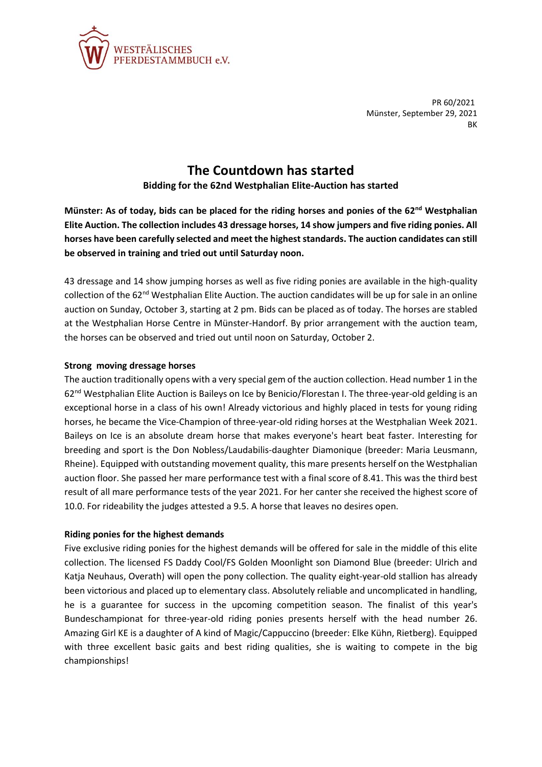

PR 60/2021 Münster, September 29, 2021 **BK** 

## **The Countdown has started**

**Bidding for the 62nd Westphalian Elite-Auction has started**

**Münster: As of today, bids can be placed for the riding horses and ponies of the 62nd Westphalian Elite Auction. The collection includes 43 dressage horses, 14 show jumpers and five riding ponies. All horses have been carefully selected and meet the highest standards. The auction candidates can still be observed in training and tried out until Saturday noon.**

43 dressage and 14 show jumping horses as well as five riding ponies are available in the high-quality collection of the 62<sup>nd</sup> Westphalian Elite Auction. The auction candidates will be up for sale in an online auction on Sunday, October 3, starting at 2 pm. Bids can be placed as of today. The horses are stabled at the Westphalian Horse Centre in Münster-Handorf. By prior arrangement with the auction team, the horses can be observed and tried out until noon on Saturday, October 2.

## **Strong moving dressage horses**

The auction traditionally opens with a very special gem of the auction collection. Head number 1 in the 62<sup>nd</sup> Westphalian Elite Auction is Baileys on Ice by Benicio/Florestan I. The three-year-old gelding is an exceptional horse in a class of his own! Already victorious and highly placed in tests for young riding horses, he became the Vice-Champion of three-year-old riding horses at the Westphalian Week 2021. Baileys on Ice is an absolute dream horse that makes everyone's heart beat faster. Interesting for breeding and sport is the Don Nobless/Laudabilis-daughter Diamonique (breeder: Maria Leusmann, Rheine). Equipped with outstanding movement quality, this mare presents herself on the Westphalian auction floor. She passed her mare performance test with a final score of 8.41. This was the third best result of all mare performance tests of the year 2021. For her canter she received the highest score of 10.0. For rideability the judges attested a 9.5. A horse that leaves no desires open.

## **Riding ponies for the highest demands**

Five exclusive riding ponies for the highest demands will be offered for sale in the middle of this elite collection. The licensed FS Daddy Cool/FS Golden Moonlight son Diamond Blue (breeder: Ulrich and Katja Neuhaus, Overath) will open the pony collection. The quality eight-year-old stallion has already been victorious and placed up to elementary class. Absolutely reliable and uncomplicated in handling, he is a guarantee for success in the upcoming competition season. The finalist of this year's Bundeschampionat for three-year-old riding ponies presents herself with the head number 26. Amazing Girl KE is a daughter of A kind of Magic/Cappuccino (breeder: Elke Kühn, Rietberg). Equipped with three excellent basic gaits and best riding qualities, she is waiting to compete in the big championships!